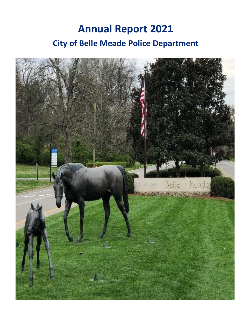# **Annual Report 2021 City of Belle Meade Police Department**

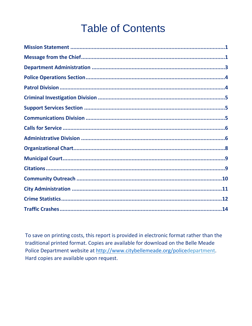# **Table of Contents**

To save on printing costs, this report is provided in electronic format rather than the traditional printed format. Copies are available for download on the Belle Meade Police Department website at http://www.citybellemeade.org/policedepartment. Hard copies are available upon request.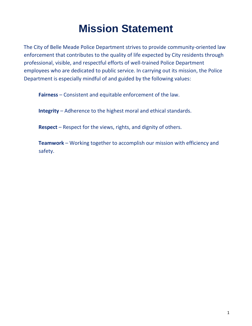## **Mission Statement**

<span id="page-2-0"></span>The City of Belle Meade Police Department strives to provide community-oriented law enforcement that contributes to the quality of life expected by City residents through professional, visible, and respectful efforts of well-trained Police Department employees who are dedicated to public service. In carrying out its mission, the Police Department is especially mindful of and guided by the following values:

**Fairness** – Consistent and equitable enforcement of the law.

**Integrity** – Adherence to the highest moral and ethical standards.

**Respect** – Respect for the views, rights, and dignity of others.

<span id="page-2-1"></span>**Teamwork** – Working together to accomplish our mission with efficiency and safety.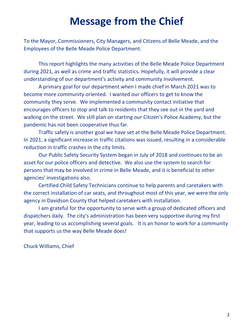## **Message from the Chief**

To the Mayor, Commissioners, City Managers, and Citizens of Belle Meade, and the Employees of the Belle Meade Police Department:

This report highlights the many activities of the Belle Meade Police Department during 2021, as well as crime and traffic statistics. Hopefully, it will provide a clear understanding of our department's activity and community involvement.

A primary goal for our department when I made chief in March 2021 was to become more community oriented. I wanted our officers to get to know the community they serve. We implemented a community contact initiative that encourages officers to stop and talk to residents that they see out in the yard and walking on the street. We still plan on starting our Citizen's Police Academy, but the pandemic has not been cooperative thus far.

Traffic safety is another goal we have set at the Belle Meade Police Department. In 2021, a significant increase in traffic citations was issued, resulting in a considerable reduction in traffic crashes in the city limits.

Our Public Safety Security System began in July of 2018 and continues to be an asset for our police officers and detective. We also use the system to search for persons that may be involved in crime in Belle Meade, and it is beneficial to other agencies' investigations also.

Certified Child Safety Technicians continue to help parents and caretakers with the correct installation of car seats, and throughout most of this year, we were the only agency in Davidson County that helped caretakers with installation.

I am grateful for the opportunity to serve with a group of dedicated officers and dispatchers daily. The city's administration has been very supportive during my first year, leading to us accomplishing several goals. It is an honor to work for a community that supports us the way Belle Meade does!

<span id="page-3-0"></span>Chuck Williams, Chief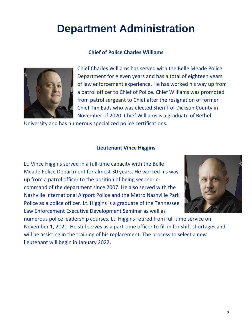## **Department Administration**

#### **Chief of Police Charles Williams**



Chief Charles Williams has served with the Belle Meade Police Department for eleven years and has a total of eighteen years of law enforcement experience. He has worked his way up from a patrol officer to Chief of Police. Chief Williams was promoted from patrol sergeant to Chief after the resignation of former Chief Tim Eads who was elected Sheriff of Dickson County in November of 2020. Chief Williams is a graduate of Bethel

University and has numerous specialized police certifications.

#### **Lieutenant Vince Higgins**

Lt. Vince Higgins served in a full-time capacity with the Belle Meade Police Department for almost 30 years. He worked his way up from a patrol officer to the position of being second-incommand of the department since 2007. He also served with the Nashville International Airport Police and the Metro Nashville Park Police as a police officer. Lt. Higgins is a graduate of the Tennessee Law Enforcement Executive Development Seminar as well as



numerous police leadership courses. Lt. Higgins retired from full-time service on November 1, 2021. He still serves as a part-time officer to fill in for shift shortages and will be assisting in the training of his replacement. The process to select a new lieutenant will begin in January 2022.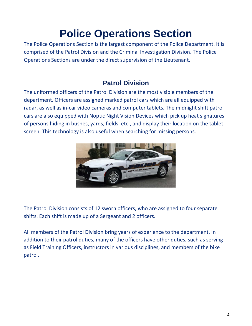# **Police Operations Section**

<span id="page-5-0"></span>The Police Operations Section is the largest component of the Police Department. It is comprised of the Patrol Division and the Criminal Investigation Division. The Police Operations Sections are under the direct supervision of the Lieutenant.

### **Patrol Division**

<span id="page-5-1"></span>The uniformed officers of the Patrol Division are the most visible members of the department. Officers are assigned marked patrol cars which are all equipped with radar, as well as in-car video cameras and computer tablets. The midnight shift patrol cars are also equipped with Noptic Night Vision Devices which pick up heat signatures of persons hiding in bushes, yards, fields, etc., and display their location on the tablet screen. This technology is also useful when searching for missing persons.



The Patrol Division consists of 12 sworn officers, who are assigned to four separate shifts. Each shift is made up of a Sergeant and 2 officers.

<span id="page-5-2"></span>All members of the Patrol Division bring years of experience to the department. In addition to their patrol duties, many of the officers have other duties, such as serving as Field Training Officers, instructors in various disciplines, and members of the bike patrol.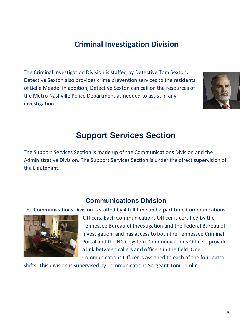## **Criminal Investigation Division**

The Criminal Investigation Division is staffed by Detective Tom Sexton**.**  Detective Sexton also provides crime prevention services to the residents of Belle Meade. In addition, Detective Sexton can call on the resources of the Metro Nashville Police Department as needed to assist in any investigation.



## **Support Services Section**

<span id="page-6-1"></span><span id="page-6-0"></span>The Support Services Section is made up of the Communications Division and the Administrative Division. The Support Services Section is under the direct supervision of the Lieutenant.

### **Communications Division**

The Communications Division is staffed by 4 full time and 2 part time Communications



Officers. Each Communications Officer is certified by the Tennessee Bureau of Investigation and the Federal Bureau of Investigation, and has access to both the Tennessee Criminal Portal and the NCIC system. Communications Officers provide a link between callers and officers in the field. One Communications Officer is assigned to each of the four patrol

shifts. This division is supervised by Communications Sergeant Toni Tomlin.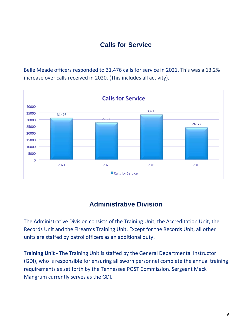### **Calls for Service**

<span id="page-7-0"></span>Belle Meade officers responded to 31,476 calls for service in 2021. This was a 13.2% increase over calls received in 2020. (This includes all activity).



### **Administrative Division**

<span id="page-7-1"></span>The Administrative Division consists of the Training Unit, the Accreditation Unit, the Records Unit and the Firearms Training Unit. Except for the Records Unit, all other units are staffed by patrol officers as an additional duty.

**Training Unit** - The Training Unit is staffed by the General Departmental Instructor (GDI), who is responsible for ensuring all sworn personnel complete the annual training requirements as set forth by the Tennessee POST Commission. Sergeant Mack Mangrum currently serves as the GDI.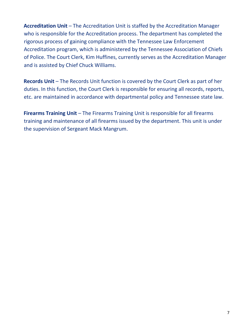**Accreditation Unit** – The Accreditation Unit is staffed by the Accreditation Manager who is responsible for the Accreditation process. The department has completed the rigorous process of gaining compliance with the Tennessee Law Enforcement Accreditation program, which is administered by the Tennessee Association of Chiefs of Police. The Court Clerk, Kim Huffines, currently serves as the Accreditation Manager and is assisted by Chief Chuck Williams.

**Records Unit** – The Records Unit function is covered by the Court Clerk as part of her duties. In this function, the Court Clerk is responsible for ensuring all records, reports, etc. are maintained in accordance with departmental policy and Tennessee state law.

**Firearms Training Unit** – The Firearms Training Unit is responsible for all firearms training and maintenance of all firearms issued by the department. This unit is under the supervision of Sergeant Mack Mangrum.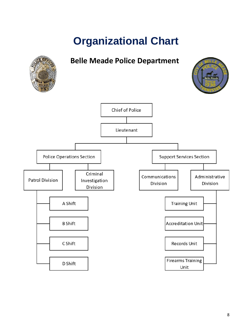# **Organizational Chart**

<span id="page-9-0"></span>

8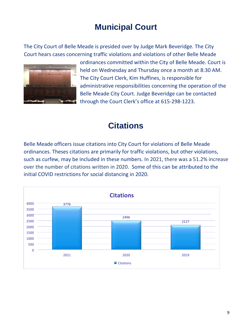## **Municipal Court**

<span id="page-10-0"></span>The City Court of Belle Meade is presided over by Judge Mark Beveridge. The City Court hears cases concerning traffic violations and violations of other Belle Meade



ordinances committed within the City of Belle Meade. Court is held on Wednesday and Thursday once a month at 8:30 AM. The City Court Clerk, Kim Huffines, is responsible for administrative responsibilities concerning the operation of the Belle Meade City Court. Judge Beveridge can be contacted through the Court Clerk's office at 615-298-1223.

## **Citations**

<span id="page-10-1"></span>Belle Meade officers issue citations into City Court for violations of Belle Meade ordinances. Theses citations are primarily for traffic violations, but other violations, such as curfew, may be included in these numbers. In 2021, there was a 51.2% increase over the number of citations written in 2020. Some of this can be attributed to the initial COVID restrictions for social distancing in 2020.

<span id="page-10-2"></span>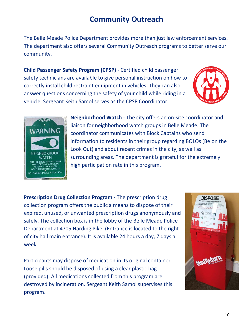## **Community Outreach**

The Belle Meade Police Department provides more than just law enforcement services. The department also offers several Community Outreach programs to better serve our community.

**Child Passenger Safety Program (CPSP)** - Certified child passenger safety technicians are available to give personal instruction on how to correctly install child restraint equipment in vehicles. They can also answer questions concerning the safety of your child while riding in a vehicle. Sergeant Keith Samol serves as the CPSP Coordinator.





**Neighborhood Watch** - The city offers an on-site coordinator and liaison for neighborhood watch groups in Belle Meade. The coordinator communicates with Block Captains who send information to residents in their group regarding BOLOs (Be on the Look Out) and about recent crimes in the city, as well as surrounding areas. The department is grateful for the extremely high participation rate in this program.

**Prescription Drug Collection Program -** The prescription drug collection program offers the public a means to dispose of their expired, unused, or unwanted prescription drugs anonymously and safely. The collection box is in the lobby of the Belle Meade Police Department at 4705 Harding Pike. (Entrance is located to the right of city hall main entrance). It is available 24 hours a day, 7 days a week.

Participants may dispose of medication in its original container. Loose pills should be disposed of using a clear plastic bag (provided). All medications collected from this program are destroyed by incineration. Sergeant Keith Samol supervises this program.

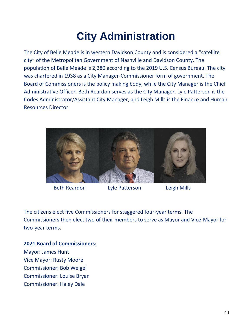# **City Administration**

<span id="page-12-0"></span>The City of Belle Meade is in western Davidson County and is considered a "satellite city" of the Metropolitan Government of Nashville and Davidson County. The population of Belle Meade is 2,280 according to the 2019 U.S. Census Bureau. The city was chartered in 1938 as a City Manager-Commissioner form of government. The Board of Commissioners is the policy making body, while the City Manager is the Chief Administrative Officer. Beth Reardon serves as the City Manager. Lyle Patterson is the Codes Administrator/Assistant City Manager, and Leigh Mills is the Finance and Human Resources Director.



Beth Reardon Lyle Patterson Leigh Mills

The citizens elect five Commissioners for staggered four-year terms. The Commissioners then elect two of their members to serve as Mayor and Vice-Mayor for two-year terms.

#### **2021 Board of Commissioners:**

Mayor: James Hunt Vice Mayor: Rusty Moore Commissioner: Bob Weigel Commissioner: Louise Bryan Commissioner: Haley Dale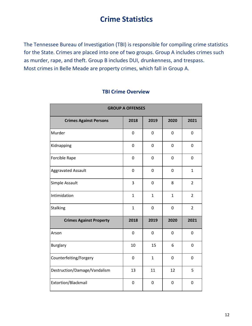### **Crime Statistics**

<span id="page-13-0"></span>The Tennessee Bureau of Investigation (TBI) is responsible for compiling crime statistics for the State. Crimes are placed into one of two groups. Group A includes crimes such as murder, rape, and theft. Group B includes DUI, drunkenness, and trespass. Most crimes in Belle Meade are property crimes, which fall in Group A.

| <b>GROUP A OFFENSES</b>        |                |              |              |                |  |  |
|--------------------------------|----------------|--------------|--------------|----------------|--|--|
| <b>Crimes Against Persons</b>  | 2018           | 2019         | 2020         | 2021           |  |  |
| Murder                         | 0              | 0            | 0            | 0              |  |  |
| Kidnapping                     | 0              | 0            | 0            | $\mathbf 0$    |  |  |
| Forcible Rape                  | 0              | 0            | 0            | $\pmb{0}$      |  |  |
| <b>Aggravated Assault</b>      | $\mathbf 0$    | 0            | 0            | $\mathbf{1}$   |  |  |
| Simple Assault                 | 3              | 0            | 8            | $\overline{2}$ |  |  |
| Intimidation                   | $\mathbf{1}$   | $\mathbf{1}$ | $\mathbf{1}$ | $\overline{2}$ |  |  |
| Stalking                       | $\mathbf{1}$   | 0            | 0            | $\overline{2}$ |  |  |
| <b>Crimes Against Property</b> | 2018           | 2019         | 2020         | 2021           |  |  |
| Arson                          | $\overline{0}$ | $\mathbf 0$  | 0            | 0              |  |  |
| <b>Burglary</b>                | 10             | 15           | 6            | 0              |  |  |
| Counterfeiting/Forgery         | $\mathbf 0$    | $\mathbf{1}$ | 0            | 0              |  |  |
| Destruction/Damage/Vandalism   | 13             | 11           | 12           | 5              |  |  |
| Extortion/Blackmail            | $\mathbf 0$    | $\mathbf 0$  | 0            | 0              |  |  |

### **TBI Crime Overview**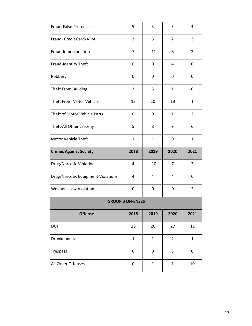<span id="page-14-0"></span>

| <b>Fraud-False Pretenses</b>              | 5                       | 3            | 3              | 4              |
|-------------------------------------------|-------------------------|--------------|----------------|----------------|
| Fraud- Credit Card/ATM                    | $\overline{2}$          | 5            | $\overline{2}$ | 3              |
| Fraud-Impersonation                       | 7                       | 11           | 5              | $\overline{2}$ |
| Fraud-Identity Theft                      | 0                       | 0            | 4              | 0              |
| Robbery                                   | 0                       | 0            | 0              | 0              |
| Theft From Building                       | 3                       | 5            | $\mathbf{1}$   | 0              |
| Theft From Motor Vehicle                  | 13                      | 10           | 13             | 1              |
| Theft of Motor Vehicle Parts              | 0                       | 0            | $\mathbf{1}$   | $\overline{2}$ |
| Theft-All Other Larceny                   | 5                       | 8            | 9              | 6              |
| Motor Vehicle Theft                       | $\mathbf{1}$            | $\mathbf{1}$ | 0              | $\mathbf{1}$   |
|                                           |                         |              |                |                |
| <b>Crimes Against Society</b>             | 2018                    | 2019         | 2020           | 2021           |
| <b>Drug/Narcotic Violations</b>           | 4                       | 10           | $\overline{7}$ | $\overline{2}$ |
| <b>Drug/Narcotic Equipment Violations</b> | 4                       | 4            | 4              | 0              |
| <b>Weapons Law Violation</b>              | 0                       | 0            | 0              | $\overline{2}$ |
|                                           | <b>GROUP B OFFENSES</b> |              |                |                |
| <b>Offense</b>                            | 2018                    | 2019         | 2020           | 2021           |
| DUI                                       | 26                      | 26           | 27             | 11             |
| Drunkenness                               | $\mathbf{1}$            | $\mathbf{1}$ | $\overline{2}$ | $\mathbf{1}$   |
| <b>Trespass</b>                           | 0                       | 0            | 3              | 0              |